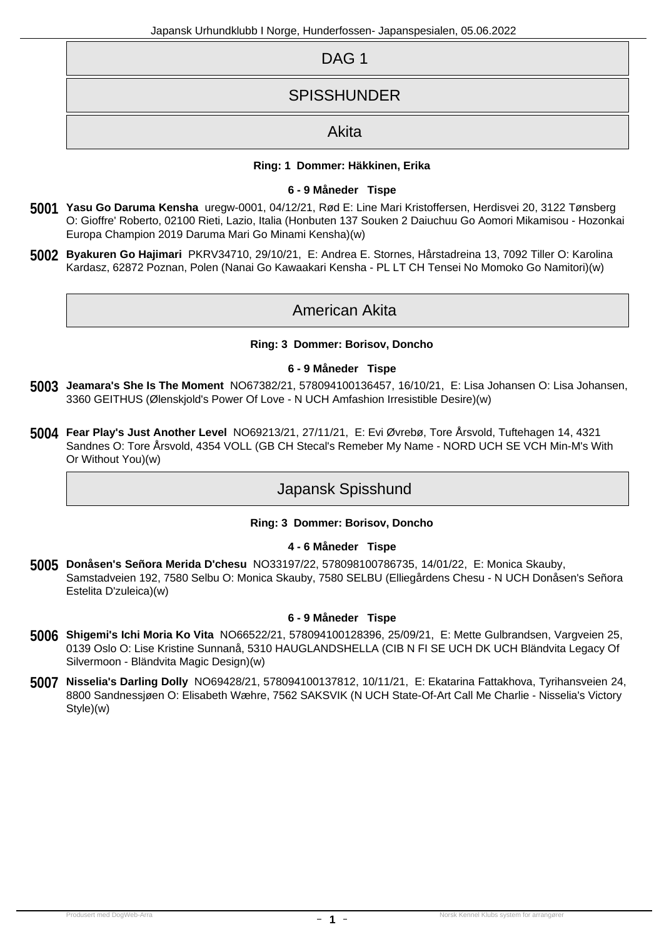| DAG <sub>1</sub>   |
|--------------------|
| <b>SPISSHUNDER</b> |
| Akita              |

### **Ring: 1 Dommer: Häkkinen, Erika**

#### **6 - 9 Måneder Tispe**

- *5001* **Yasu Go Daruma Kensha** uregw-0001, 04/12/21, Rød E: Line Mari Kristoffersen, Herdisvei 20, 3122 Tønsberg O: Gioffre' Roberto, 02100 Rieti, Lazio, Italia (Honbuten 137 Souken 2 Daiuchuu Go Aomori Mikamisou - Hozonkai Europa Champion 2019 Daruma Mari Go Minami Kensha)(w)
- *5002* **Byakuren Go Hajimari** PKRV34710, 29/10/21, E: Andrea E. Stornes, Hårstadreina 13, 7092 Tiller O: Karolina Kardasz, 62872 Poznan, Polen (Nanai Go Kawaakari Kensha - PL LT CH Tensei No Momoko Go Namitori)(w)

# American Akita

#### **Ring: 3 Dommer: Borisov, Doncho**

# **6 - 9 Måneder Tispe**

- *5003* **Jeamara's She Is The Moment** NO67382/21, 578094100136457, 16/10/21, E: Lisa Johansen O: Lisa Johansen, 3360 GEITHUS (Ølenskjold's Power Of Love - N UCH Amfashion Irresistible Desire)(w)
- *5004* **Fear Play's Just Another Level** NO69213/21, 27/11/21, E: Evi Øvrebø, Tore Årsvold, Tuftehagen 14, 4321 Sandnes O: Tore Årsvold, 4354 VOLL (GB CH Stecal's Remeber My Name - NORD UCH SE VCH Min-M's With Or Without You)(w)

# Japansk Spisshund

# **Ring: 3 Dommer: Borisov, Doncho**

# **4 - 6 Måneder Tispe**

*5005* **Donåsen's Señora Merida D'chesu** NO33197/22, 578098100786735, 14/01/22, E: Monica Skauby, Samstadveien 192, 7580 Selbu O: Monica Skauby, 7580 SELBU (Elliegårdens Chesu - N UCH Donåsen's Señora Estelita D'zuleica)(w)

#### **6 - 9 Måneder Tispe**

- *5006* **Shigemi's Ichi Moria Ko Vita** NO66522/21, 578094100128396, 25/09/21, E: Mette Gulbrandsen, Vargveien 25, 0139 Oslo O: Lise Kristine Sunnanå, 5310 HAUGLANDSHELLA (CIB N FI SE UCH DK UCH Bländvita Legacy Of Silvermoon - Bländvita Magic Design)(w)
- *5007* **Nisselia's Darling Dolly** NO69428/21, 578094100137812, 10/11/21, E: Ekatarina Fattakhova, Tyrihansveien 24, 8800 Sandnessjøen O: Elisabeth Wæhre, 7562 SAKSVIK (N UCH State-Of-Art Call Me Charlie - Nisselia's Victory Style)(w)